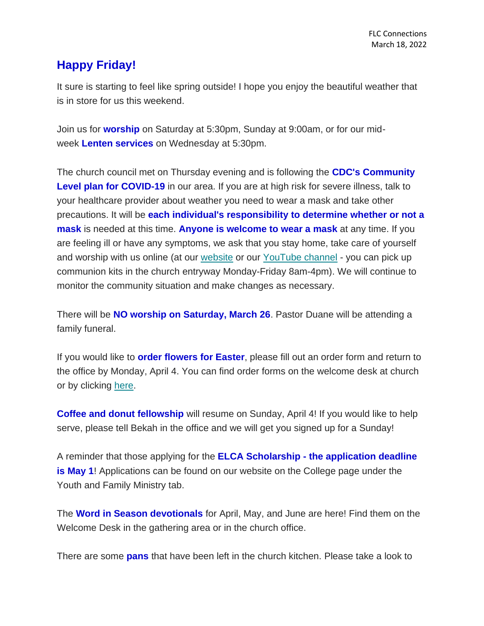## **Happy Friday!**

It sure is starting to feel like spring outside! I hope you enjoy the beautiful weather that is in store for us this weekend.

Join us for **worship** on Saturday at 5:30pm, Sunday at 9:00am, or for our midweek **Lenten services** on Wednesday at 5:30pm.

The church council met on Thursday evening and is following the **CDC's Community**  Level plan for COVID-19 in our area. If you are at high risk for severe illness, talk to your healthcare provider about weather you need to wear a mask and take other precautions. It will be **each individual's responsibility to determine whether or not a mask** is needed at this time. **Anyone is welcome to wear a mask** at any time. If you are feeling ill or have any symptoms, we ask that you stay home, take care of yourself and worship with us online (at our [website](https://www.firstlc.org/index.php?) or our [YouTube channel](https://www.youtube.com/channel/UC9XdNg_hQSX1DHMunNI8WQw/featured) - you can pick up communion kits in the church entryway Monday-Friday 8am-4pm). We will continue to monitor the community situation and make changes as necessary.

There will be **NO worship on Saturday, March 26**. Pastor Duane will be attending a family funeral.

If you would like to **order flowers for Easter**, please fill out an order form and return to the office by Monday, April 4. You can find order forms on the welcome desk at church or by clicking [here.](https://mcusercontent.com/77c7c6d2c1cfcdf43b66ccb3d/files/679dc958-6a81-ad8b-dc43-995099c8c27c/Easter_Order_Sheet_2022.pdf)

**Coffee and donut fellowship** will resume on Sunday, April 4! If you would like to help serve, please tell Bekah in the office and we will get you signed up for a Sunday!

A reminder that those applying for the **ELCA Scholarship - the application deadline is May 1**! Applications can be found on our website on the College page under the Youth and Family Ministry tab.

The **Word in Season devotionals** for April, May, and June are here! Find them on the Welcome Desk in the gathering area or in the church office.

There are some **pans** that have been left in the church kitchen. Please take a look to